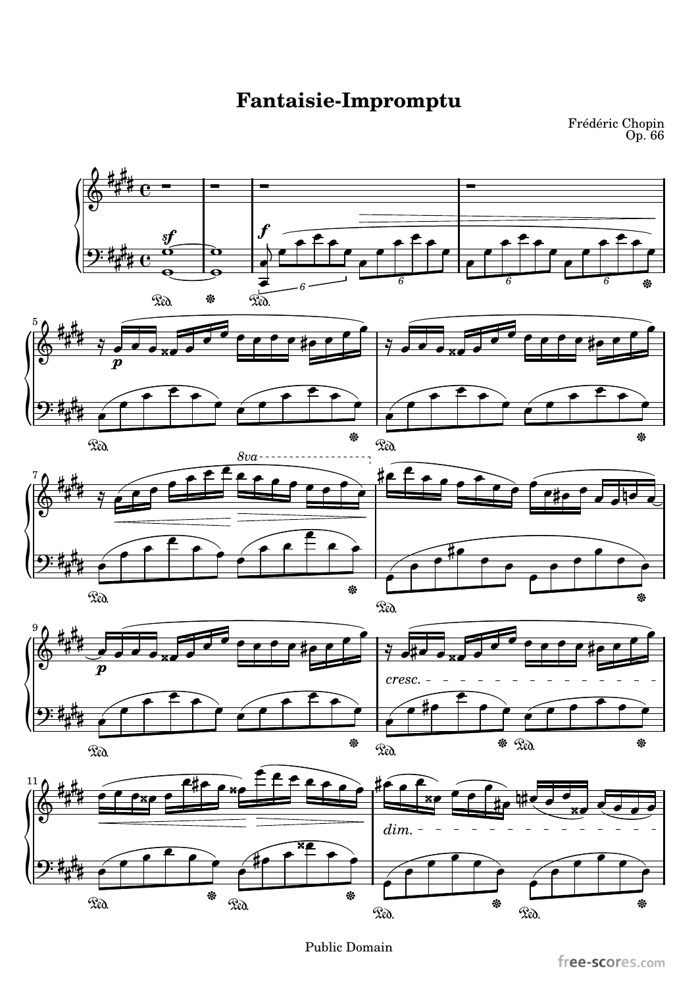## **Fantaisie-Impromptu**



Public Domain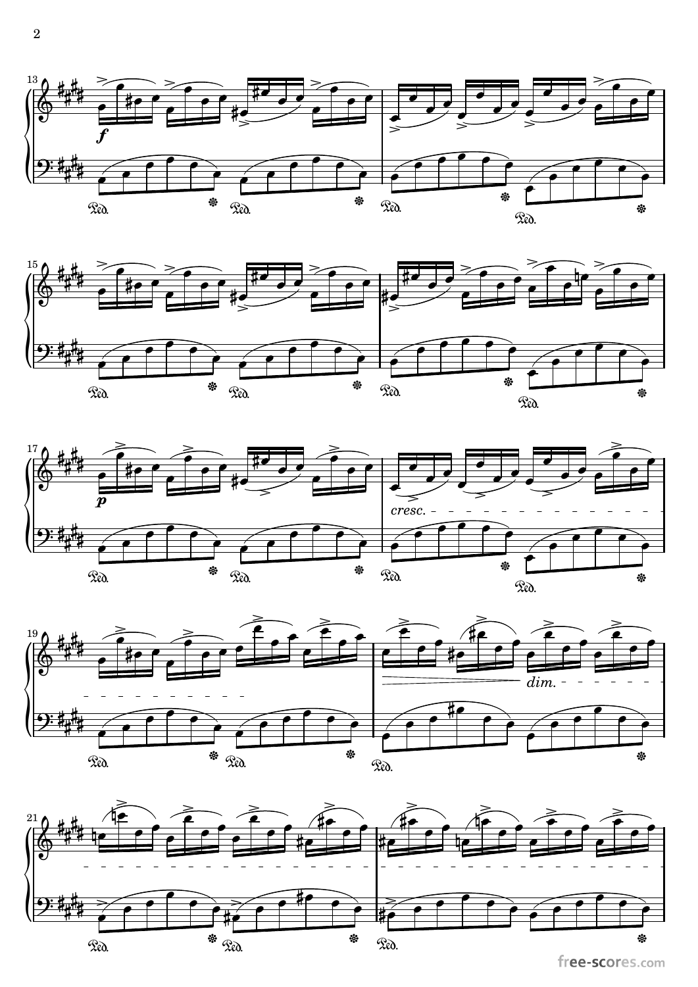







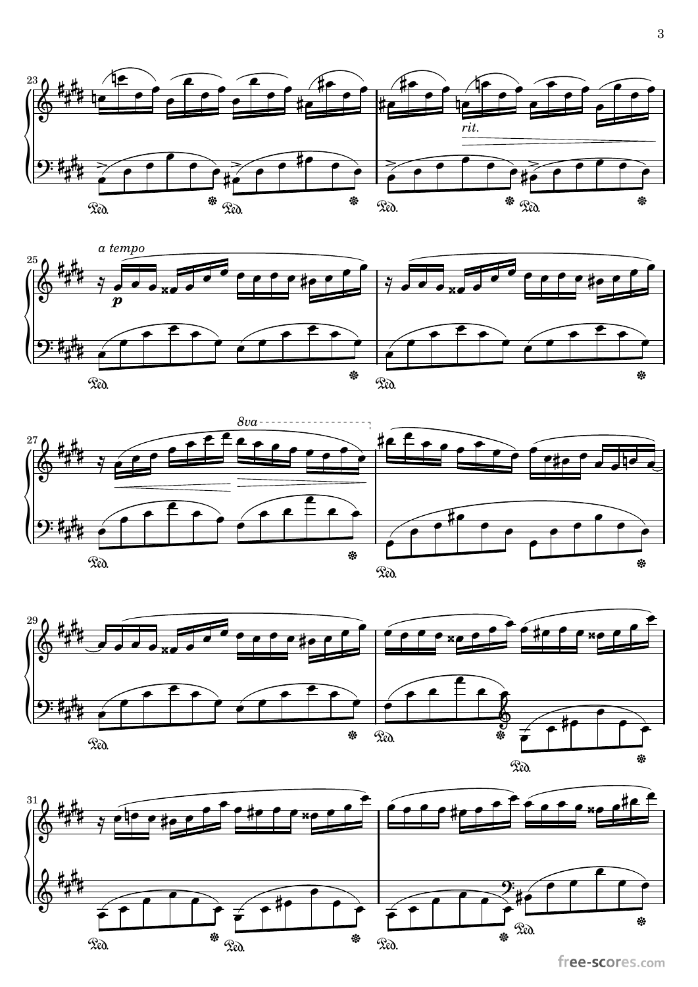









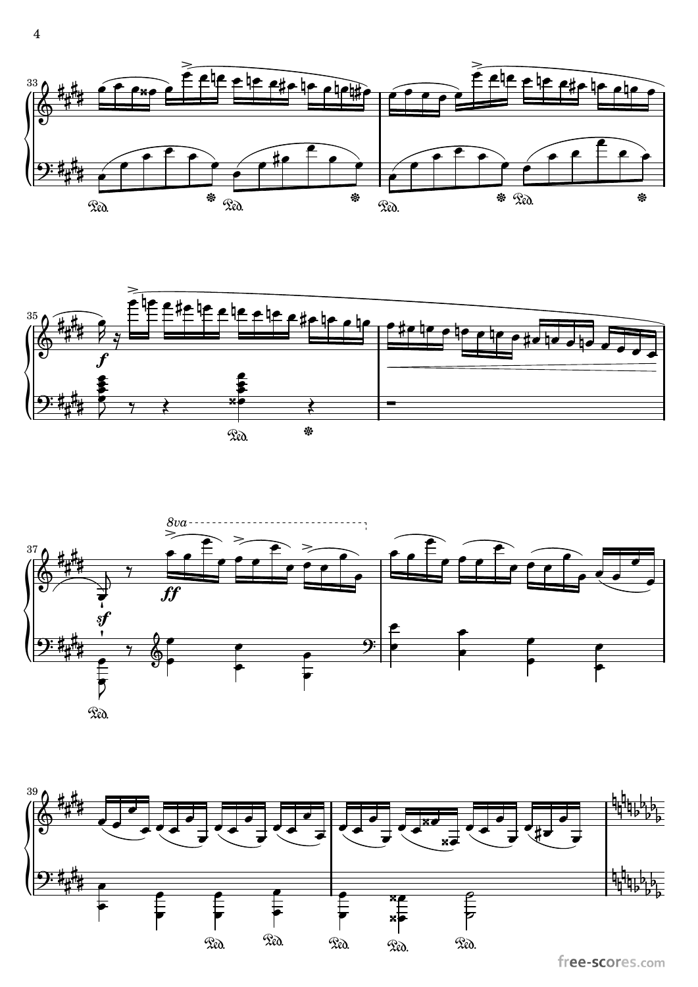





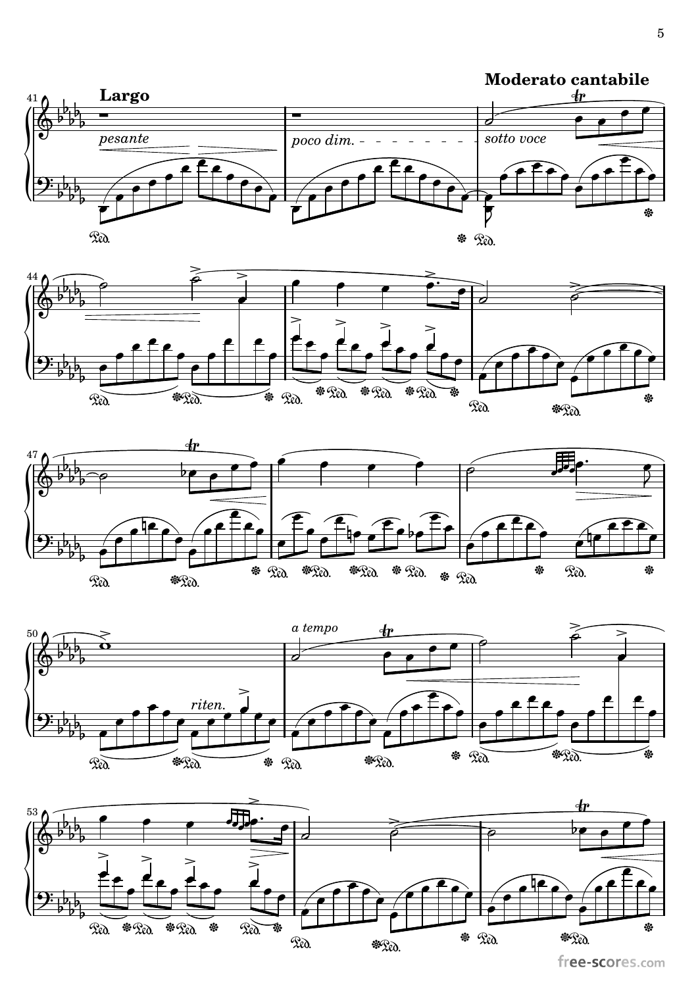







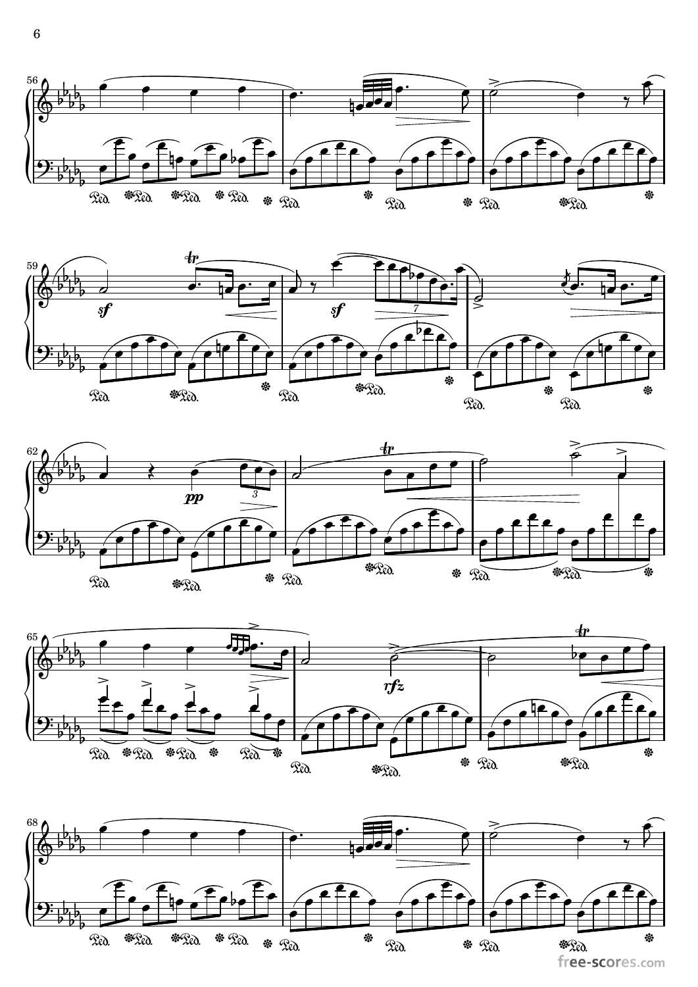







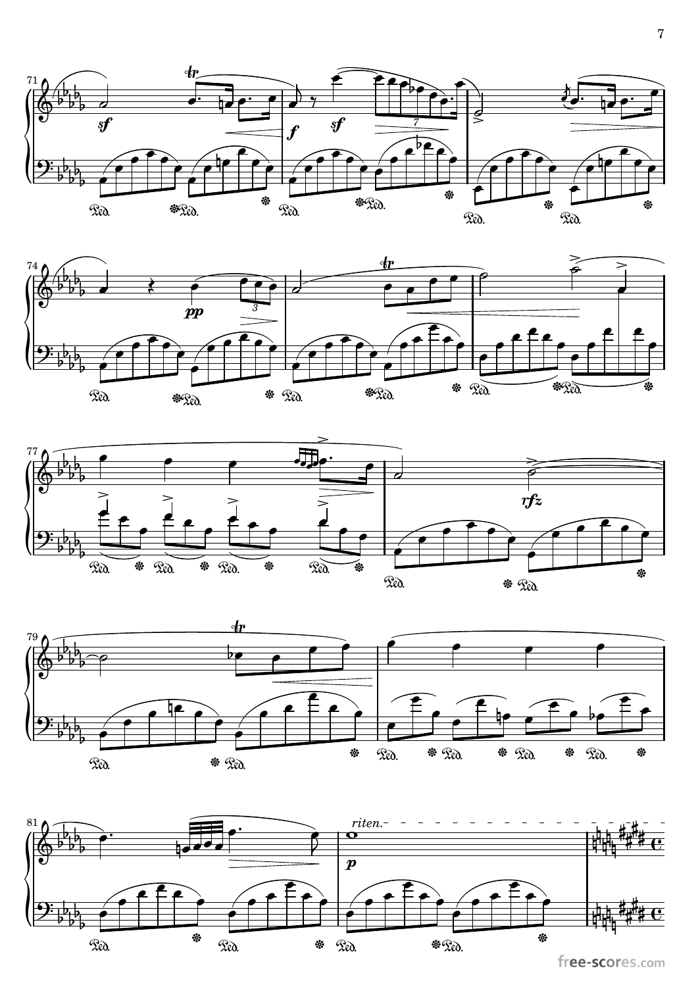







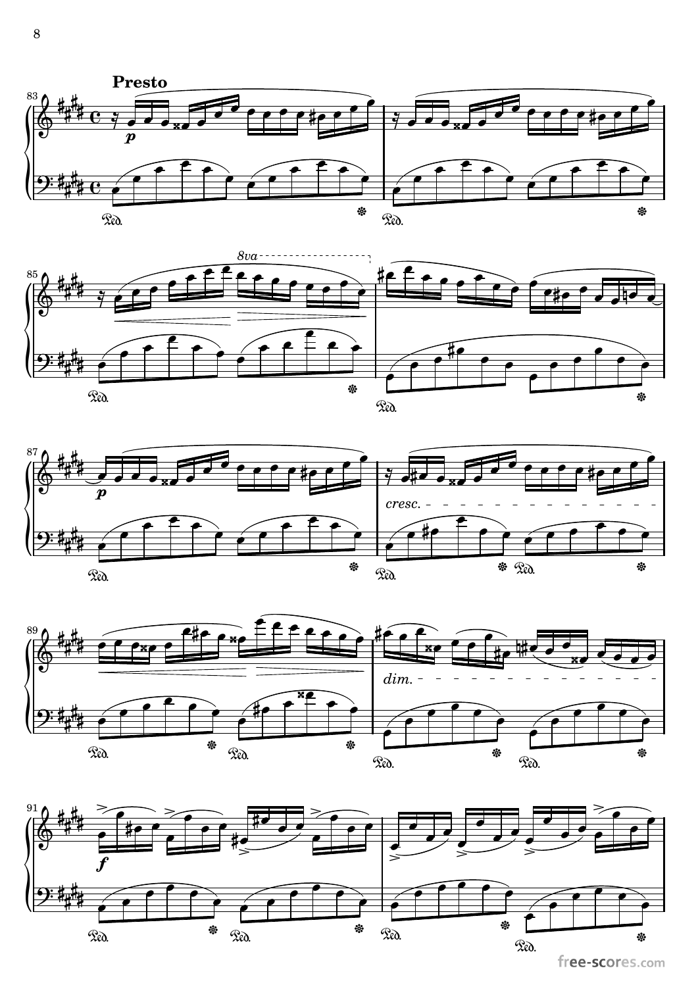







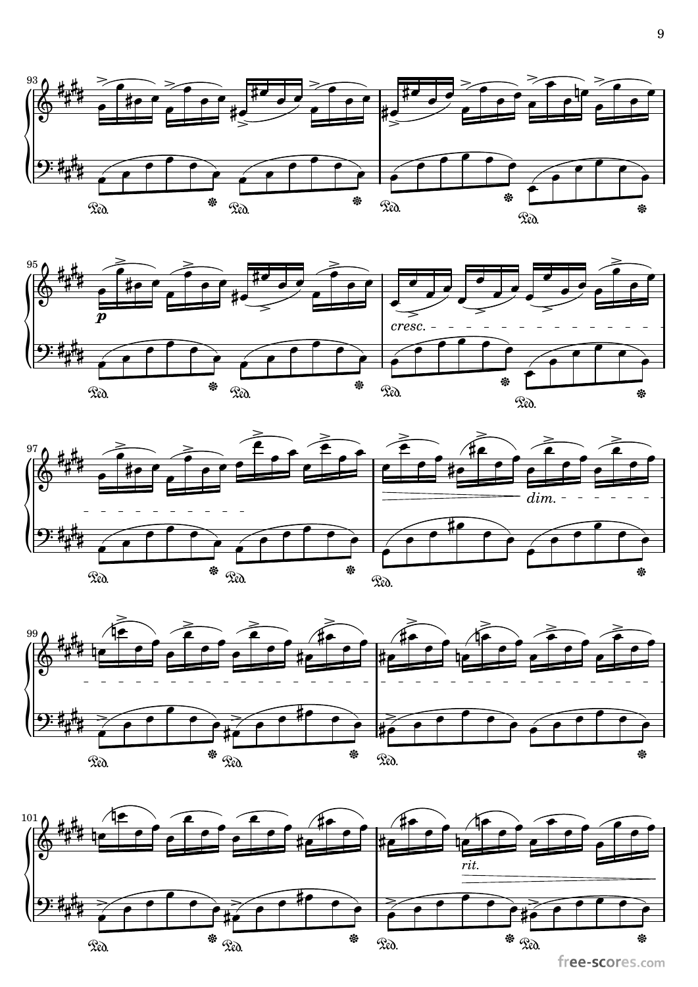







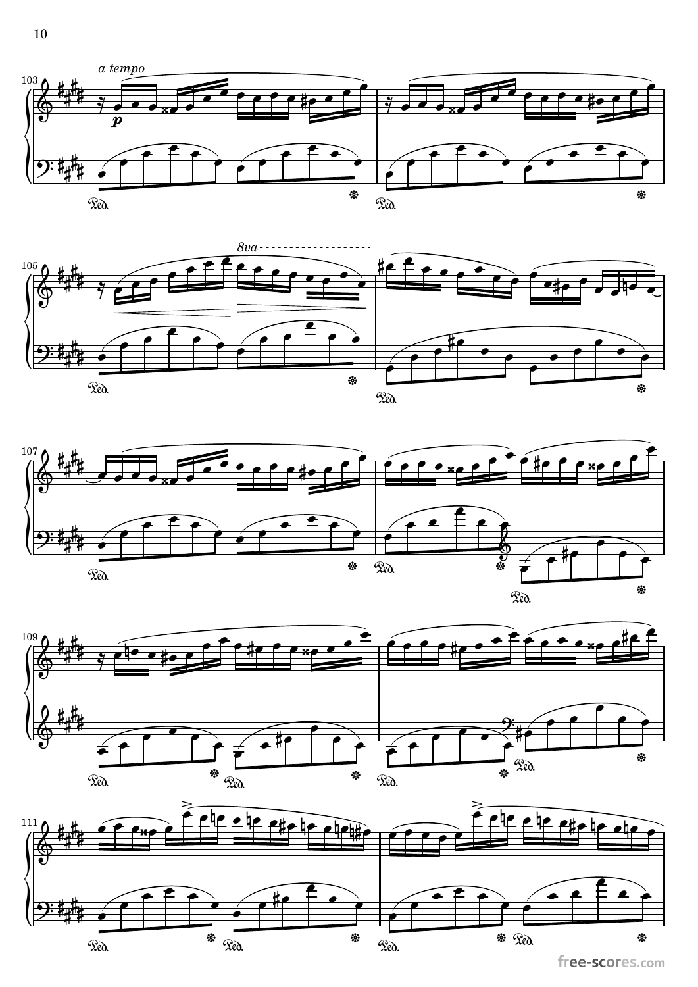







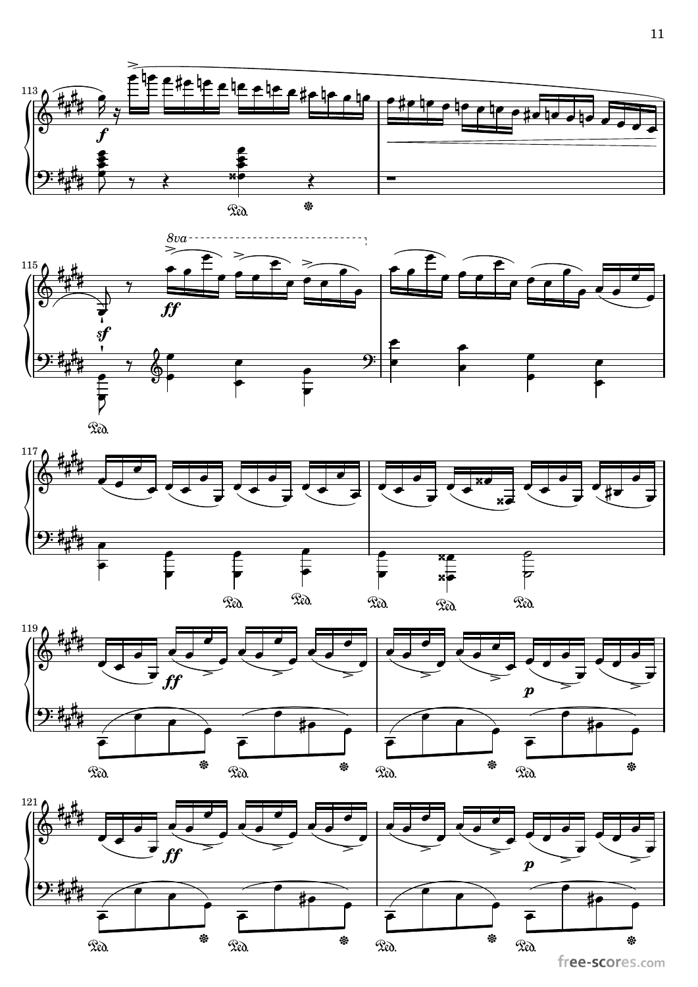



 $\mathcal{R}$ a.





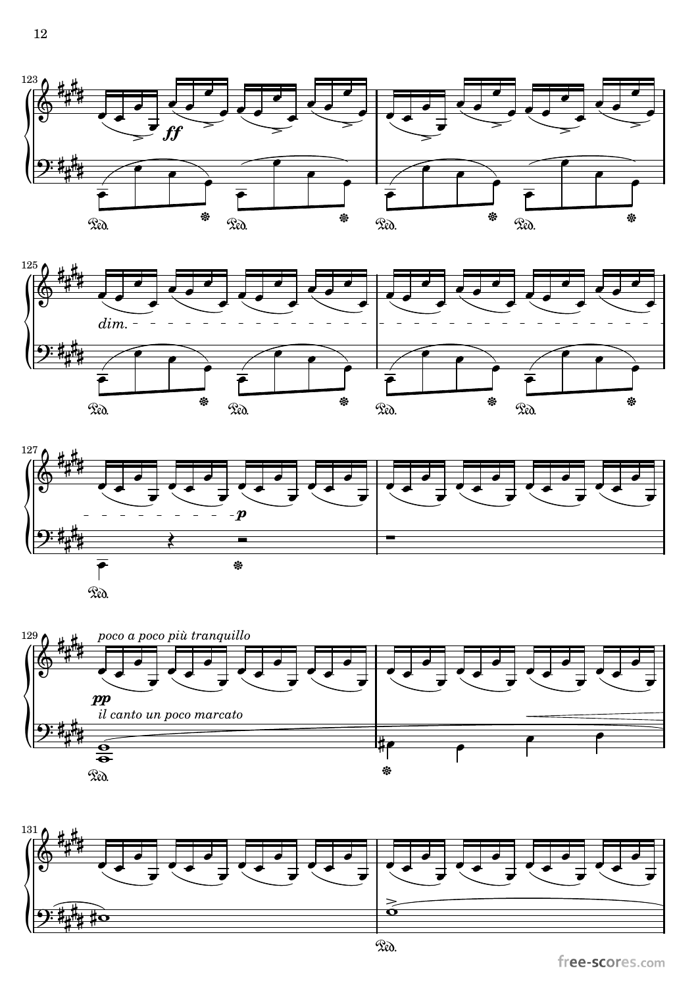